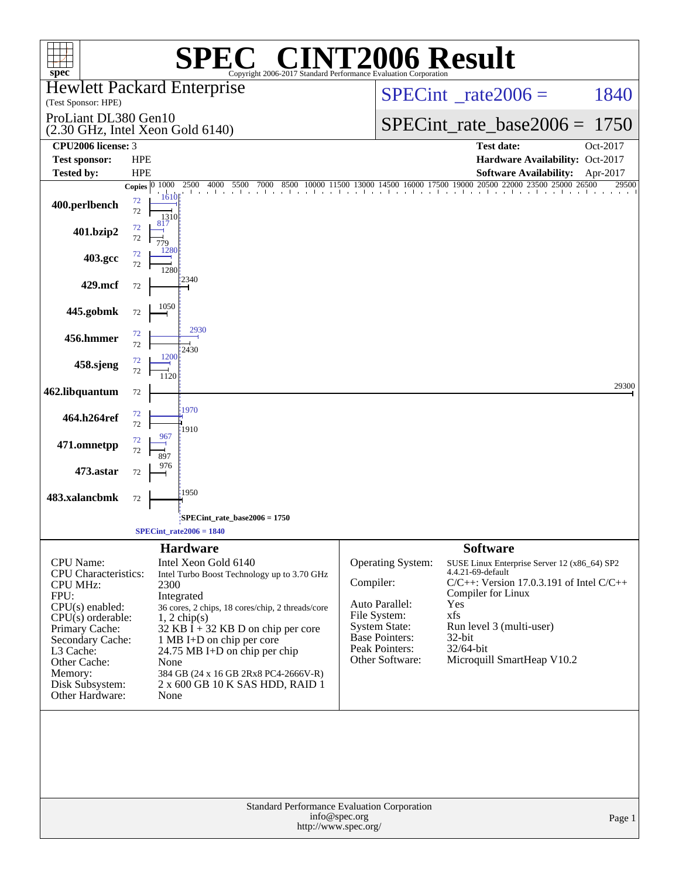| spec <sup>®</sup>                                                                                                                                                                                                                          |            |                      | $\bigcap$<br>Copyright 2006-2017 Standard Performance Evaluation Corporation                                                                                                                                                                                                                                                                                |           |                                                                                                                                                  | <b>INT2006 Result</b>                                                                                                                                                                                                                                         |                      |
|--------------------------------------------------------------------------------------------------------------------------------------------------------------------------------------------------------------------------------------------|------------|----------------------|-------------------------------------------------------------------------------------------------------------------------------------------------------------------------------------------------------------------------------------------------------------------------------------------------------------------------------------------------------------|-----------|--------------------------------------------------------------------------------------------------------------------------------------------------|---------------------------------------------------------------------------------------------------------------------------------------------------------------------------------------------------------------------------------------------------------------|----------------------|
| <b>Hewlett Packard Enterprise</b><br>(Test Sponsor: HPE)                                                                                                                                                                                   |            |                      |                                                                                                                                                                                                                                                                                                                                                             |           | $SPECint^{\circ}$ rate 2006 =                                                                                                                    | 1840                                                                                                                                                                                                                                                          |                      |
| ProLiant DL380 Gen10                                                                                                                                                                                                                       |            |                      |                                                                                                                                                                                                                                                                                                                                                             |           | $SPECint_rate_base2006 = 1750$                                                                                                                   |                                                                                                                                                                                                                                                               |                      |
| (2.30 GHz, Intel Xeon Gold 6140)<br>CPU2006 license: 3                                                                                                                                                                                     |            |                      |                                                                                                                                                                                                                                                                                                                                                             |           | <b>Test date:</b>                                                                                                                                |                                                                                                                                                                                                                                                               |                      |
| <b>Test sponsor:</b>                                                                                                                                                                                                                       | <b>HPE</b> |                      |                                                                                                                                                                                                                                                                                                                                                             |           |                                                                                                                                                  | Hardware Availability: Oct-2017                                                                                                                                                                                                                               | Oct-2017             |
| <b>Tested by:</b>                                                                                                                                                                                                                          | <b>HPE</b> |                      |                                                                                                                                                                                                                                                                                                                                                             |           |                                                                                                                                                  | <b>Software Availability:</b>                                                                                                                                                                                                                                 | Apr-2017             |
|                                                                                                                                                                                                                                            |            | Copies $ 0 1000$     | 4000<br>5500<br>2500<br>7000<br>8500                                                                                                                                                                                                                                                                                                                        |           | 11500 13000 14500 16000 17500 19000 20500                                                                                                        | 22000                                                                                                                                                                                                                                                         | 25000 26500<br>29500 |
| 400.perlbench                                                                                                                                                                                                                              | 72<br>72   | 1610<br>1310         |                                                                                                                                                                                                                                                                                                                                                             |           |                                                                                                                                                  |                                                                                                                                                                                                                                                               |                      |
| 401.bzip2                                                                                                                                                                                                                                  | 72<br>72   | 817<br>779           |                                                                                                                                                                                                                                                                                                                                                             |           |                                                                                                                                                  |                                                                                                                                                                                                                                                               |                      |
| 403.gcc                                                                                                                                                                                                                                    | 72<br>72   | 1280<br>1280         |                                                                                                                                                                                                                                                                                                                                                             |           |                                                                                                                                                  |                                                                                                                                                                                                                                                               |                      |
| 429.mcf                                                                                                                                                                                                                                    | 72         |                      | 2340                                                                                                                                                                                                                                                                                                                                                        |           |                                                                                                                                                  |                                                                                                                                                                                                                                                               |                      |
| 445.gobmk                                                                                                                                                                                                                                  | $72\,$     | 1050                 |                                                                                                                                                                                                                                                                                                                                                             |           |                                                                                                                                                  |                                                                                                                                                                                                                                                               |                      |
| 456.hmmer                                                                                                                                                                                                                                  | 72<br>72   |                      | 2930<br>2430                                                                                                                                                                                                                                                                                                                                                |           |                                                                                                                                                  |                                                                                                                                                                                                                                                               |                      |
| 458.sjeng                                                                                                                                                                                                                                  | 72<br>72   | 1200<br>1120         |                                                                                                                                                                                                                                                                                                                                                             |           |                                                                                                                                                  |                                                                                                                                                                                                                                                               |                      |
| 462.libquantum                                                                                                                                                                                                                             | $72\,$     |                      |                                                                                                                                                                                                                                                                                                                                                             |           |                                                                                                                                                  |                                                                                                                                                                                                                                                               | 29300                |
| 464.h264ref                                                                                                                                                                                                                                | 72<br>72   |                      | 1970                                                                                                                                                                                                                                                                                                                                                        |           |                                                                                                                                                  |                                                                                                                                                                                                                                                               |                      |
| 471.omnetpp                                                                                                                                                                                                                                | 72<br>72   | 967                  | 1910                                                                                                                                                                                                                                                                                                                                                        |           |                                                                                                                                                  |                                                                                                                                                                                                                                                               |                      |
| 473.astar                                                                                                                                                                                                                                  | 72         |                      |                                                                                                                                                                                                                                                                                                                                                             |           |                                                                                                                                                  |                                                                                                                                                                                                                                                               |                      |
| 483.xalancbmk                                                                                                                                                                                                                              | 72         |                      | 1950                                                                                                                                                                                                                                                                                                                                                        |           |                                                                                                                                                  |                                                                                                                                                                                                                                                               |                      |
|                                                                                                                                                                                                                                            |            |                      | SPECint_rate_base2006 = 1750                                                                                                                                                                                                                                                                                                                                |           |                                                                                                                                                  |                                                                                                                                                                                                                                                               |                      |
|                                                                                                                                                                                                                                            |            |                      | $SPECint_rate2006 = 1840$                                                                                                                                                                                                                                                                                                                                   |           |                                                                                                                                                  |                                                                                                                                                                                                                                                               |                      |
| <b>CPU</b> Name:<br><b>CPU</b> Characteristics:<br><b>CPU MHz:</b><br>FPU:<br>$CPU(s)$ enabled:<br>$CPU(s)$ orderable:<br>Primary Cache:<br>Secondary Cache:<br>L3 Cache:<br>Other Cache:<br>Memory:<br>Disk Subsystem:<br>Other Hardware: |            | 2300<br>None<br>None | <b>Hardware</b><br>Intel Xeon Gold 6140<br>Intel Turbo Boost Technology up to 3.70 GHz<br>Integrated<br>36 cores, 2 chips, 18 cores/chip, 2 threads/core<br>$1, 2$ chip(s)<br>$32$ KB I + 32 KB D on chip per core<br>1 MB I+D on chip per core<br>24.75 MB I+D on chip per chip<br>384 GB (24 x 16 GB 2Rx8 PC4-2666V-R)<br>2 x 600 GB 10 K SAS HDD, RAID 1 | Compiler: | <b>Operating System:</b><br>Auto Parallel:<br>File System:<br><b>System State:</b><br><b>Base Pointers:</b><br>Peak Pointers:<br>Other Software: | <b>Software</b><br>SUSE Linux Enterprise Server 12 (x86_64) SP2<br>4.4.21-69-default<br>$C/C++$ : Version 17.0.3.191 of Intel $C/C++$<br>Compiler for Linux<br>Yes<br>xfs<br>Run level 3 (multi-user)<br>$32$ -bit<br>32/64-bit<br>Microquill SmartHeap V10.2 |                      |
|                                                                                                                                                                                                                                            |            |                      | Standard Performance Evaluation Corporation<br>info@spec.org<br>http://www.spec.org/                                                                                                                                                                                                                                                                        |           |                                                                                                                                                  |                                                                                                                                                                                                                                                               | Page 1               |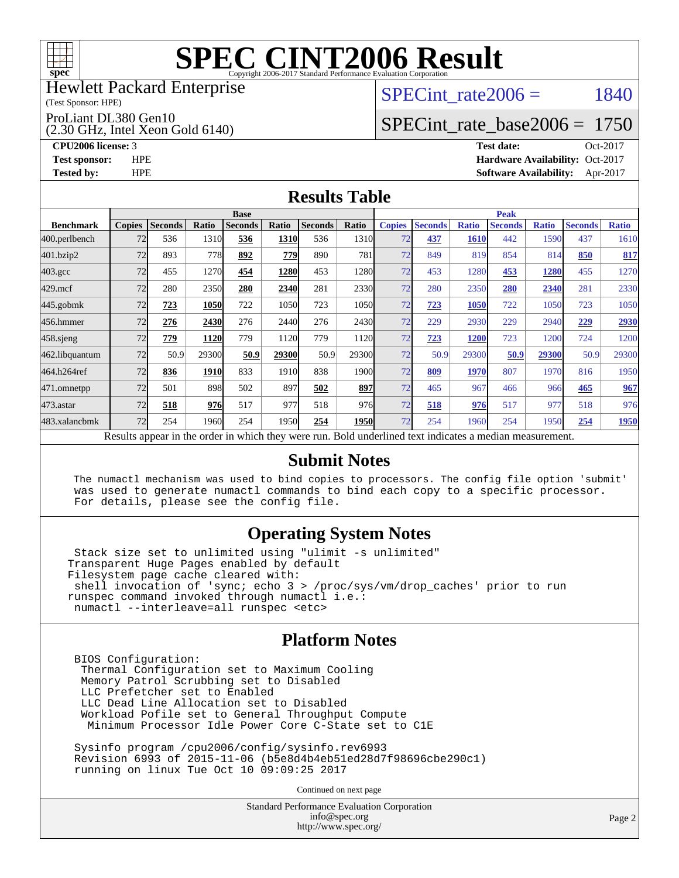

#### Hewlett Packard Enterprise

(Test Sponsor: HPE)

ProLiant DL380 Gen10

(2.30 GHz, Intel Xeon Gold 6140)

SPECint rate $2006 = 1840$ 

# [SPECint\\_rate\\_base2006 =](http://www.spec.org/auto/cpu2006/Docs/result-fields.html#SPECintratebase2006) 1750

**[CPU2006 license:](http://www.spec.org/auto/cpu2006/Docs/result-fields.html#CPU2006license)** 3 **[Test date:](http://www.spec.org/auto/cpu2006/Docs/result-fields.html#Testdate)** Oct-2017 **[Test sponsor:](http://www.spec.org/auto/cpu2006/Docs/result-fields.html#Testsponsor)** HPE **[Hardware Availability:](http://www.spec.org/auto/cpu2006/Docs/result-fields.html#HardwareAvailability)** Oct-2017 **[Tested by:](http://www.spec.org/auto/cpu2006/Docs/result-fields.html#Testedby)** HPE **[Software Availability:](http://www.spec.org/auto/cpu2006/Docs/result-fields.html#SoftwareAvailability)** Apr-2017

#### **[Results Table](http://www.spec.org/auto/cpu2006/Docs/result-fields.html#ResultsTable)**

|                                                                                                          | <b>Base</b>   |                |             |                |       |                |             |               | <b>Peak</b>    |              |                |              |                |              |  |
|----------------------------------------------------------------------------------------------------------|---------------|----------------|-------------|----------------|-------|----------------|-------------|---------------|----------------|--------------|----------------|--------------|----------------|--------------|--|
| <b>Benchmark</b>                                                                                         | <b>Copies</b> | <b>Seconds</b> | Ratio       | <b>Seconds</b> | Ratio | <b>Seconds</b> | Ratio       | <b>Copies</b> | <b>Seconds</b> | <b>Ratio</b> | <b>Seconds</b> | <b>Ratio</b> | <b>Seconds</b> | <b>Ratio</b> |  |
| 400.perlbench                                                                                            | 72            | 536            | 1310        | 536            | 1310  | 536            | 1310        | 72            | 437            | 1610         | 442            | 1590         | 437            | 1610         |  |
| 401.bzip2                                                                                                | 72            | 893            | 778         | 892            | 779   | 890            | 781         | 72            | 849            | 819          | 854            | 814          | 850            | 817          |  |
| $403.\mathrm{gcc}$                                                                                       | 72            | 455            | 1270        | 454            | 1280  | 453            | 1280l       | 72            | 453            | 1280         | 453            | 1280         | 455            | 1270         |  |
| $429$ .mcf                                                                                               | 72            | 280            | 2350        | 280            | 2340  | 281            | 2330        | 72            | 280            | 2350         | 280            | 2340         | 281            | 2330         |  |
| $445$ .gobm $k$                                                                                          | 72            | 723            | 1050        | 722            | 1050  | 723            | 1050        | 72            | 723            | 1050         | 722            | 1050         | 723            | 1050         |  |
| 456.hmmer                                                                                                | 72            | 276            | 2430        | 276            | 2440  | 276            | 2430        | 72            | 229            | 2930         | 229            | 2940         | 229            | 2930         |  |
| $458$ .sjeng                                                                                             | 72            | 779            | 1120        | 779            | 1120  | 779            | 1120        | 72            | 723            | 1200         | 723            | 1200         | 724            | 1200         |  |
| 462.libquantum                                                                                           | 72            | 50.9           | 29300       | 50.9           | 29300 | 50.9           | 29300       | 72            | 50.9           | 29300        | 50.9           | 29300        | 50.9           | 29300        |  |
| 464.h264ref                                                                                              | 72            | 836            | <b>1910</b> | 833            | 1910  | 838            | 1900        | 72            | 809            | 1970         | 807            | 1970         | 816            | 1950         |  |
| 471.omnetpp                                                                                              | 72            | 501            | 898         | 502            | 897   | 502            | 897         | 72            | 465            | 967          | 466            | 966          | 465            | 967          |  |
| $473.$ astar                                                                                             | 72            | 518            | 976         | 517            | 977   | 518            | 976         | 72            | 518            | 976          | 517            | 977          | 518            | 976          |  |
| 483.xalancbmk                                                                                            | 72            | 254            | 1960        | 254            | 1950  | 254            | <b>1950</b> | 72            | 254            | 1960         | 254            | 1950         | 254            | 1950         |  |
| Results appear in the order in which they were run. Bold underlined text indicates a median measurement. |               |                |             |                |       |                |             |               |                |              |                |              |                |              |  |

#### **[Submit Notes](http://www.spec.org/auto/cpu2006/Docs/result-fields.html#SubmitNotes)**

 The numactl mechanism was used to bind copies to processors. The config file option 'submit' was used to generate numactl commands to bind each copy to a specific processor. For details, please see the config file.

### **[Operating System Notes](http://www.spec.org/auto/cpu2006/Docs/result-fields.html#OperatingSystemNotes)**

 Stack size set to unlimited using "ulimit -s unlimited" Transparent Huge Pages enabled by default Filesystem page cache cleared with: shell invocation of 'sync; echo 3 > /proc/sys/vm/drop\_caches' prior to run runspec command invoked through numactl i.e.: numactl --interleave=all runspec <etc>

#### **[Platform Notes](http://www.spec.org/auto/cpu2006/Docs/result-fields.html#PlatformNotes)**

 BIOS Configuration: Thermal Configuration set to Maximum Cooling Memory Patrol Scrubbing set to Disabled LLC Prefetcher set to Enabled LLC Dead Line Allocation set to Disabled Workload Pofile set to General Throughput Compute Minimum Processor Idle Power Core C-State set to C1E

 Sysinfo program /cpu2006/config/sysinfo.rev6993 Revision 6993 of 2015-11-06 (b5e8d4b4eb51ed28d7f98696cbe290c1) running on linux Tue Oct 10 09:09:25 2017

Continued on next page

Standard Performance Evaluation Corporation [info@spec.org](mailto:info@spec.org) <http://www.spec.org/>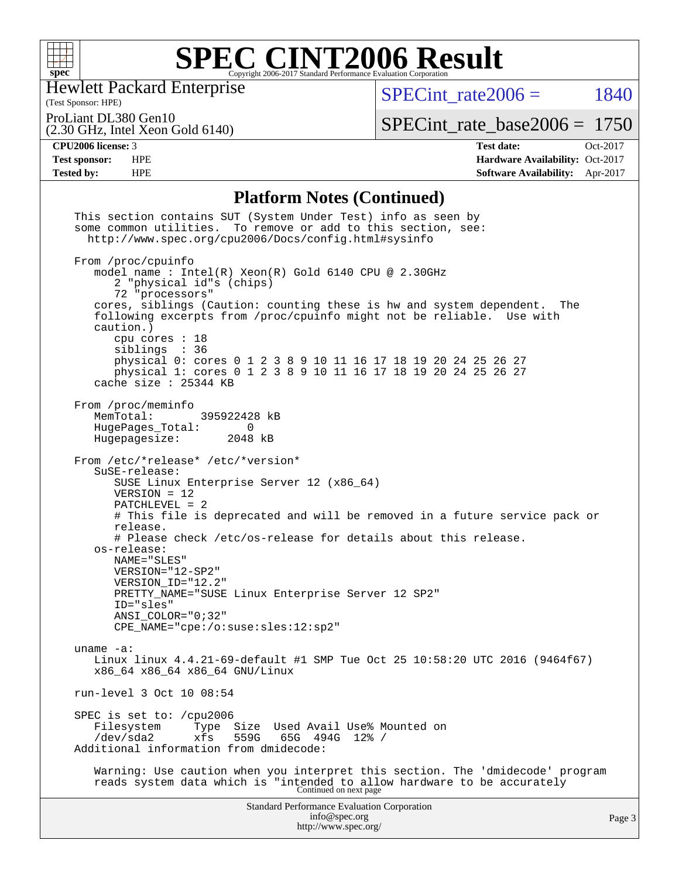

Hewlett Packard Enterprise

(Test Sponsor: HPE)

 $SPECTnt_rate2006 = 1840$ 

ProLiant DL380 Gen10

(2.30 GHz, Intel Xeon Gold 6140)

[SPECint\\_rate\\_base2006 =](http://www.spec.org/auto/cpu2006/Docs/result-fields.html#SPECintratebase2006) 1750

**[CPU2006 license:](http://www.spec.org/auto/cpu2006/Docs/result-fields.html#CPU2006license)** 3 **[Test date:](http://www.spec.org/auto/cpu2006/Docs/result-fields.html#Testdate)** Oct-2017 **[Test sponsor:](http://www.spec.org/auto/cpu2006/Docs/result-fields.html#Testsponsor)** HPE **[Hardware Availability:](http://www.spec.org/auto/cpu2006/Docs/result-fields.html#HardwareAvailability)** Oct-2017 **[Tested by:](http://www.spec.org/auto/cpu2006/Docs/result-fields.html#Testedby)** HPE **[Software Availability:](http://www.spec.org/auto/cpu2006/Docs/result-fields.html#SoftwareAvailability)** Apr-2017

### **[Platform Notes \(Continued\)](http://www.spec.org/auto/cpu2006/Docs/result-fields.html#PlatformNotes)**

| This section contains SUT (System Under Test) info as seen by<br>some common utilities. To remove or add to this section, see:<br>http://www.spec.org/cpu2006/Docs/config.html#sysinfo                                                                                                                                                                                                                                                                                                                      |        |
|-------------------------------------------------------------------------------------------------------------------------------------------------------------------------------------------------------------------------------------------------------------------------------------------------------------------------------------------------------------------------------------------------------------------------------------------------------------------------------------------------------------|--------|
| From /proc/cpuinfo<br>model name : Intel(R) Xeon(R) Gold 6140 CPU @ 2.30GHz<br>2 "physical id"s (chips)<br>72 "processors"                                                                                                                                                                                                                                                                                                                                                                                  |        |
| cores, siblings (Caution: counting these is hw and system dependent.<br>The<br>following excerpts from /proc/cpuinfo might not be reliable. Use with<br>caution.)<br>cpu cores $: 18$                                                                                                                                                                                                                                                                                                                       |        |
| siblings : 36<br>physical 0: cores 0 1 2 3 8 9 10 11 16 17 18 19 20 24 25 26 27<br>physical 1: cores 0 1 2 3 8 9 10 11 16 17 18 19 20 24 25 26 27<br>cache size $: 25344$ KB                                                                                                                                                                                                                                                                                                                                |        |
| From /proc/meminfo<br>MemTotal:<br>395922428 kB<br>HugePages_Total:<br>$\Omega$<br>Hugepagesize: 2048 kB                                                                                                                                                                                                                                                                                                                                                                                                    |        |
| From /etc/*release* /etc/*version*<br>SuSE-release:<br>SUSE Linux Enterprise Server 12 (x86_64)<br>$VERSION = 12$<br>$PATCHLEVEL = 2$<br># This file is deprecated and will be removed in a future service pack or<br>release.<br># Please check /etc/os-release for details about this release.<br>os-release:<br>NAME="SLES"<br>VERSION="12-SP2"<br>VERSION_ID="12.2"<br>PRETTY_NAME="SUSE Linux Enterprise Server 12 SP2"<br>ID="sles"<br>ANSI COLOR="0;32"<br>$CPE\_NAME = "cpe://o:suse: sles:12:sp2"$ |        |
| uname $-a$ :<br>Linux linux 4.4.21-69-default #1 SMP Tue Oct 25 10:58:20 UTC 2016 (9464f67)<br>x86_64 x86_64 x86_64 GNU/Linux                                                                                                                                                                                                                                                                                                                                                                               |        |
| run-level 3 Oct 10 08:54                                                                                                                                                                                                                                                                                                                                                                                                                                                                                    |        |
| SPEC is set to: /cpu2006<br>Filesystem<br>Size Used Avail Use% Mounted on<br>Type<br>559G<br>65G<br>$/\text{dev/sda2}$<br>xfs<br>494G<br>12% /<br>Additional information from dmidecode:                                                                                                                                                                                                                                                                                                                    |        |
| Warning: Use caution when you interpret this section. The 'dmidecode' program<br>reads system data which is "intended to allow hardware to be accurately<br>Continued on next page                                                                                                                                                                                                                                                                                                                          |        |
| <b>Standard Performance Evaluation Corporation</b><br>info@spec.org<br>http://www.spec.org/                                                                                                                                                                                                                                                                                                                                                                                                                 | Page 3 |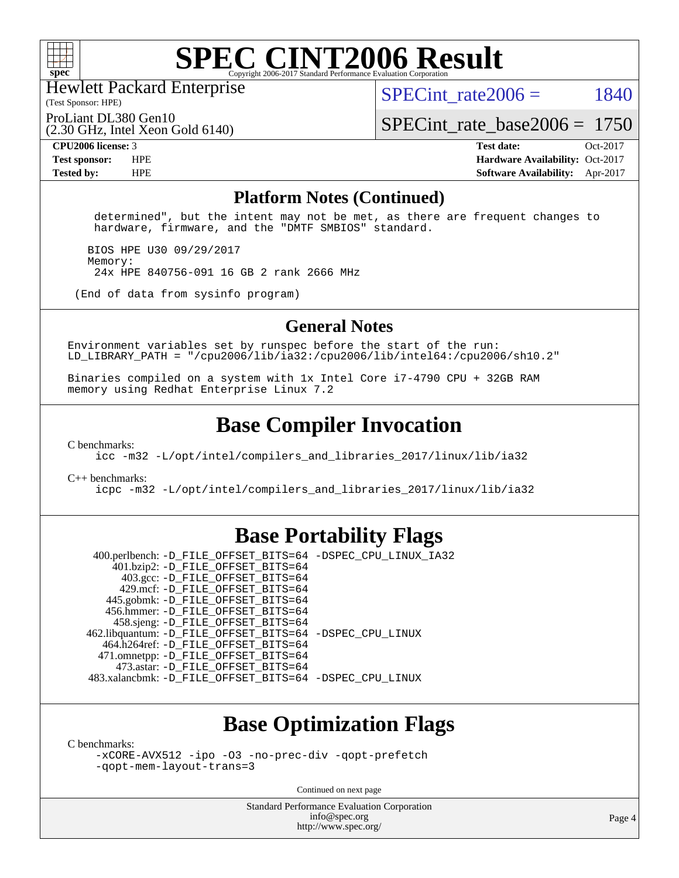

Hewlett Packard Enterprise

(Test Sponsor: HPE)

SPECint rate $2006 = 1840$ 

(2.30 GHz, Intel Xeon Gold 6140) ProLiant DL380 Gen10

[SPECint\\_rate\\_base2006 =](http://www.spec.org/auto/cpu2006/Docs/result-fields.html#SPECintratebase2006) 1750

**[CPU2006 license:](http://www.spec.org/auto/cpu2006/Docs/result-fields.html#CPU2006license)** 3 **[Test date:](http://www.spec.org/auto/cpu2006/Docs/result-fields.html#Testdate)** Oct-2017 **[Test sponsor:](http://www.spec.org/auto/cpu2006/Docs/result-fields.html#Testsponsor)** HPE **[Hardware Availability:](http://www.spec.org/auto/cpu2006/Docs/result-fields.html#HardwareAvailability)** Oct-2017 **[Tested by:](http://www.spec.org/auto/cpu2006/Docs/result-fields.html#Testedby)** HPE **[Software Availability:](http://www.spec.org/auto/cpu2006/Docs/result-fields.html#SoftwareAvailability)** Apr-2017

#### **[Platform Notes \(Continued\)](http://www.spec.org/auto/cpu2006/Docs/result-fields.html#PlatformNotes)**

 determined", but the intent may not be met, as there are frequent changes to hardware, firmware, and the "DMTF SMBIOS" standard.

 BIOS HPE U30 09/29/2017 Memory: 24x HPE 840756-091 16 GB 2 rank 2666 MHz

(End of data from sysinfo program)

#### **[General Notes](http://www.spec.org/auto/cpu2006/Docs/result-fields.html#GeneralNotes)**

Environment variables set by runspec before the start of the run: LD LIBRARY PATH = "/cpu2006/lib/ia32:/cpu2006/lib/intel64:/cpu2006/sh10.2"

Binaries compiled on a system with 1x Intel Core i7-4790 CPU + 32GB RAM memory using Redhat Enterprise Linux 7.2

### **[Base Compiler Invocation](http://www.spec.org/auto/cpu2006/Docs/result-fields.html#BaseCompilerInvocation)**

[C benchmarks](http://www.spec.org/auto/cpu2006/Docs/result-fields.html#Cbenchmarks):

[icc -m32 -L/opt/intel/compilers\\_and\\_libraries\\_2017/linux/lib/ia32](http://www.spec.org/cpu2006/results/res2017q4/cpu2006-20171031-50473.flags.html#user_CCbase_intel_icc_c29f3ff5a7ed067b11e4ec10a03f03ae)

[C++ benchmarks:](http://www.spec.org/auto/cpu2006/Docs/result-fields.html#CXXbenchmarks)

[icpc -m32 -L/opt/intel/compilers\\_and\\_libraries\\_2017/linux/lib/ia32](http://www.spec.org/cpu2006/results/res2017q4/cpu2006-20171031-50473.flags.html#user_CXXbase_intel_icpc_8c35c7808b62dab9ae41a1aa06361b6b)

### **[Base Portability Flags](http://www.spec.org/auto/cpu2006/Docs/result-fields.html#BasePortabilityFlags)**

 400.perlbench: [-D\\_FILE\\_OFFSET\\_BITS=64](http://www.spec.org/cpu2006/results/res2017q4/cpu2006-20171031-50473.flags.html#user_basePORTABILITY400_perlbench_file_offset_bits_64_438cf9856305ebd76870a2c6dc2689ab) [-DSPEC\\_CPU\\_LINUX\\_IA32](http://www.spec.org/cpu2006/results/res2017q4/cpu2006-20171031-50473.flags.html#b400.perlbench_baseCPORTABILITY_DSPEC_CPU_LINUX_IA32) 401.bzip2: [-D\\_FILE\\_OFFSET\\_BITS=64](http://www.spec.org/cpu2006/results/res2017q4/cpu2006-20171031-50473.flags.html#user_basePORTABILITY401_bzip2_file_offset_bits_64_438cf9856305ebd76870a2c6dc2689ab) 403.gcc: [-D\\_FILE\\_OFFSET\\_BITS=64](http://www.spec.org/cpu2006/results/res2017q4/cpu2006-20171031-50473.flags.html#user_basePORTABILITY403_gcc_file_offset_bits_64_438cf9856305ebd76870a2c6dc2689ab) 429.mcf: [-D\\_FILE\\_OFFSET\\_BITS=64](http://www.spec.org/cpu2006/results/res2017q4/cpu2006-20171031-50473.flags.html#user_basePORTABILITY429_mcf_file_offset_bits_64_438cf9856305ebd76870a2c6dc2689ab) 445.gobmk: [-D\\_FILE\\_OFFSET\\_BITS=64](http://www.spec.org/cpu2006/results/res2017q4/cpu2006-20171031-50473.flags.html#user_basePORTABILITY445_gobmk_file_offset_bits_64_438cf9856305ebd76870a2c6dc2689ab) 456.hmmer: [-D\\_FILE\\_OFFSET\\_BITS=64](http://www.spec.org/cpu2006/results/res2017q4/cpu2006-20171031-50473.flags.html#user_basePORTABILITY456_hmmer_file_offset_bits_64_438cf9856305ebd76870a2c6dc2689ab) 458.sjeng: [-D\\_FILE\\_OFFSET\\_BITS=64](http://www.spec.org/cpu2006/results/res2017q4/cpu2006-20171031-50473.flags.html#user_basePORTABILITY458_sjeng_file_offset_bits_64_438cf9856305ebd76870a2c6dc2689ab) 462.libquantum: [-D\\_FILE\\_OFFSET\\_BITS=64](http://www.spec.org/cpu2006/results/res2017q4/cpu2006-20171031-50473.flags.html#user_basePORTABILITY462_libquantum_file_offset_bits_64_438cf9856305ebd76870a2c6dc2689ab) [-DSPEC\\_CPU\\_LINUX](http://www.spec.org/cpu2006/results/res2017q4/cpu2006-20171031-50473.flags.html#b462.libquantum_baseCPORTABILITY_DSPEC_CPU_LINUX) 464.h264ref: [-D\\_FILE\\_OFFSET\\_BITS=64](http://www.spec.org/cpu2006/results/res2017q4/cpu2006-20171031-50473.flags.html#user_basePORTABILITY464_h264ref_file_offset_bits_64_438cf9856305ebd76870a2c6dc2689ab) 471.omnetpp: [-D\\_FILE\\_OFFSET\\_BITS=64](http://www.spec.org/cpu2006/results/res2017q4/cpu2006-20171031-50473.flags.html#user_basePORTABILITY471_omnetpp_file_offset_bits_64_438cf9856305ebd76870a2c6dc2689ab) 473.astar: [-D\\_FILE\\_OFFSET\\_BITS=64](http://www.spec.org/cpu2006/results/res2017q4/cpu2006-20171031-50473.flags.html#user_basePORTABILITY473_astar_file_offset_bits_64_438cf9856305ebd76870a2c6dc2689ab) 483.xalancbmk: [-D\\_FILE\\_OFFSET\\_BITS=64](http://www.spec.org/cpu2006/results/res2017q4/cpu2006-20171031-50473.flags.html#user_basePORTABILITY483_xalancbmk_file_offset_bits_64_438cf9856305ebd76870a2c6dc2689ab) [-DSPEC\\_CPU\\_LINUX](http://www.spec.org/cpu2006/results/res2017q4/cpu2006-20171031-50473.flags.html#b483.xalancbmk_baseCXXPORTABILITY_DSPEC_CPU_LINUX)

# **[Base Optimization Flags](http://www.spec.org/auto/cpu2006/Docs/result-fields.html#BaseOptimizationFlags)**

[C benchmarks](http://www.spec.org/auto/cpu2006/Docs/result-fields.html#Cbenchmarks):

[-xCORE-AVX512](http://www.spec.org/cpu2006/results/res2017q4/cpu2006-20171031-50473.flags.html#user_CCbase_f-xCORE-AVX512) [-ipo](http://www.spec.org/cpu2006/results/res2017q4/cpu2006-20171031-50473.flags.html#user_CCbase_f-ipo) [-O3](http://www.spec.org/cpu2006/results/res2017q4/cpu2006-20171031-50473.flags.html#user_CCbase_f-O3) [-no-prec-div](http://www.spec.org/cpu2006/results/res2017q4/cpu2006-20171031-50473.flags.html#user_CCbase_f-no-prec-div) [-qopt-prefetch](http://www.spec.org/cpu2006/results/res2017q4/cpu2006-20171031-50473.flags.html#user_CCbase_f-qopt-prefetch) [-qopt-mem-layout-trans=3](http://www.spec.org/cpu2006/results/res2017q4/cpu2006-20171031-50473.flags.html#user_CCbase_f-qopt-mem-layout-trans_170f5be61cd2cedc9b54468c59262d5d)

Continued on next page

Standard Performance Evaluation Corporation [info@spec.org](mailto:info@spec.org) <http://www.spec.org/>

Page 4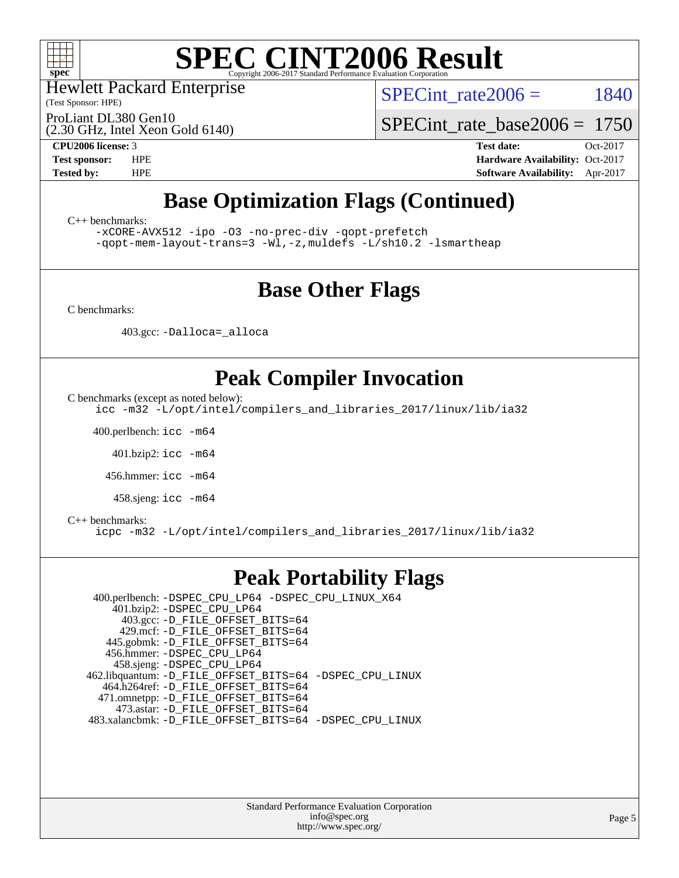

Hewlett Packard Enterprise

(Test Sponsor: HPE)

SPECint rate $2006 = 1840$ 

(2.30 GHz, Intel Xeon Gold 6140) ProLiant DL380 Gen10

[SPECint\\_rate\\_base2006 =](http://www.spec.org/auto/cpu2006/Docs/result-fields.html#SPECintratebase2006) 1750

**[CPU2006 license:](http://www.spec.org/auto/cpu2006/Docs/result-fields.html#CPU2006license)** 3 **[Test date:](http://www.spec.org/auto/cpu2006/Docs/result-fields.html#Testdate)** Oct-2017 **[Test sponsor:](http://www.spec.org/auto/cpu2006/Docs/result-fields.html#Testsponsor)** HPE **[Hardware Availability:](http://www.spec.org/auto/cpu2006/Docs/result-fields.html#HardwareAvailability)** Oct-2017 **[Tested by:](http://www.spec.org/auto/cpu2006/Docs/result-fields.html#Testedby)** HPE **[Software Availability:](http://www.spec.org/auto/cpu2006/Docs/result-fields.html#SoftwareAvailability)** Apr-2017

# **[Base Optimization Flags \(Continued\)](http://www.spec.org/auto/cpu2006/Docs/result-fields.html#BaseOptimizationFlags)**

[C++ benchmarks:](http://www.spec.org/auto/cpu2006/Docs/result-fields.html#CXXbenchmarks)

[-xCORE-AVX512](http://www.spec.org/cpu2006/results/res2017q4/cpu2006-20171031-50473.flags.html#user_CXXbase_f-xCORE-AVX512) [-ipo](http://www.spec.org/cpu2006/results/res2017q4/cpu2006-20171031-50473.flags.html#user_CXXbase_f-ipo) [-O3](http://www.spec.org/cpu2006/results/res2017q4/cpu2006-20171031-50473.flags.html#user_CXXbase_f-O3) [-no-prec-div](http://www.spec.org/cpu2006/results/res2017q4/cpu2006-20171031-50473.flags.html#user_CXXbase_f-no-prec-div) [-qopt-prefetch](http://www.spec.org/cpu2006/results/res2017q4/cpu2006-20171031-50473.flags.html#user_CXXbase_f-qopt-prefetch) [-qopt-mem-layout-trans=3](http://www.spec.org/cpu2006/results/res2017q4/cpu2006-20171031-50473.flags.html#user_CXXbase_f-qopt-mem-layout-trans_170f5be61cd2cedc9b54468c59262d5d) [-Wl,-z,muldefs](http://www.spec.org/cpu2006/results/res2017q4/cpu2006-20171031-50473.flags.html#user_CXXbase_link_force_multiple1_74079c344b956b9658436fd1b6dd3a8a) [-L/sh10.2 -lsmartheap](http://www.spec.org/cpu2006/results/res2017q4/cpu2006-20171031-50473.flags.html#user_CXXbase_SmartHeap_b831f2d313e2fffa6dfe3f00ffc1f1c0)

### **[Base Other Flags](http://www.spec.org/auto/cpu2006/Docs/result-fields.html#BaseOtherFlags)**

[C benchmarks](http://www.spec.org/auto/cpu2006/Docs/result-fields.html#Cbenchmarks):

403.gcc: [-Dalloca=\\_alloca](http://www.spec.org/cpu2006/results/res2017q4/cpu2006-20171031-50473.flags.html#b403.gcc_baseEXTRA_CFLAGS_Dalloca_be3056838c12de2578596ca5467af7f3)

# **[Peak Compiler Invocation](http://www.spec.org/auto/cpu2006/Docs/result-fields.html#PeakCompilerInvocation)**

[C benchmarks \(except as noted below\)](http://www.spec.org/auto/cpu2006/Docs/result-fields.html#Cbenchmarksexceptasnotedbelow):

[icc -m32 -L/opt/intel/compilers\\_and\\_libraries\\_2017/linux/lib/ia32](http://www.spec.org/cpu2006/results/res2017q4/cpu2006-20171031-50473.flags.html#user_CCpeak_intel_icc_c29f3ff5a7ed067b11e4ec10a03f03ae)

400.perlbench: [icc -m64](http://www.spec.org/cpu2006/results/res2017q4/cpu2006-20171031-50473.flags.html#user_peakCCLD400_perlbench_intel_icc_64bit_bda6cc9af1fdbb0edc3795bac97ada53)

401.bzip2: [icc -m64](http://www.spec.org/cpu2006/results/res2017q4/cpu2006-20171031-50473.flags.html#user_peakCCLD401_bzip2_intel_icc_64bit_bda6cc9af1fdbb0edc3795bac97ada53)

456.hmmer: [icc -m64](http://www.spec.org/cpu2006/results/res2017q4/cpu2006-20171031-50473.flags.html#user_peakCCLD456_hmmer_intel_icc_64bit_bda6cc9af1fdbb0edc3795bac97ada53)

458.sjeng: [icc -m64](http://www.spec.org/cpu2006/results/res2017q4/cpu2006-20171031-50473.flags.html#user_peakCCLD458_sjeng_intel_icc_64bit_bda6cc9af1fdbb0edc3795bac97ada53)

#### [C++ benchmarks:](http://www.spec.org/auto/cpu2006/Docs/result-fields.html#CXXbenchmarks)

[icpc -m32 -L/opt/intel/compilers\\_and\\_libraries\\_2017/linux/lib/ia32](http://www.spec.org/cpu2006/results/res2017q4/cpu2006-20171031-50473.flags.html#user_CXXpeak_intel_icpc_8c35c7808b62dab9ae41a1aa06361b6b)

### **[Peak Portability Flags](http://www.spec.org/auto/cpu2006/Docs/result-fields.html#PeakPortabilityFlags)**

 400.perlbench: [-DSPEC\\_CPU\\_LP64](http://www.spec.org/cpu2006/results/res2017q4/cpu2006-20171031-50473.flags.html#b400.perlbench_peakCPORTABILITY_DSPEC_CPU_LP64) [-DSPEC\\_CPU\\_LINUX\\_X64](http://www.spec.org/cpu2006/results/res2017q4/cpu2006-20171031-50473.flags.html#b400.perlbench_peakCPORTABILITY_DSPEC_CPU_LINUX_X64) 401.bzip2: [-DSPEC\\_CPU\\_LP64](http://www.spec.org/cpu2006/results/res2017q4/cpu2006-20171031-50473.flags.html#suite_peakCPORTABILITY401_bzip2_DSPEC_CPU_LP64) 403.gcc: [-D\\_FILE\\_OFFSET\\_BITS=64](http://www.spec.org/cpu2006/results/res2017q4/cpu2006-20171031-50473.flags.html#user_peakPORTABILITY403_gcc_file_offset_bits_64_438cf9856305ebd76870a2c6dc2689ab) 429.mcf: [-D\\_FILE\\_OFFSET\\_BITS=64](http://www.spec.org/cpu2006/results/res2017q4/cpu2006-20171031-50473.flags.html#user_peakPORTABILITY429_mcf_file_offset_bits_64_438cf9856305ebd76870a2c6dc2689ab) 445.gobmk: [-D\\_FILE\\_OFFSET\\_BITS=64](http://www.spec.org/cpu2006/results/res2017q4/cpu2006-20171031-50473.flags.html#user_peakPORTABILITY445_gobmk_file_offset_bits_64_438cf9856305ebd76870a2c6dc2689ab) 456.hmmer: [-DSPEC\\_CPU\\_LP64](http://www.spec.org/cpu2006/results/res2017q4/cpu2006-20171031-50473.flags.html#suite_peakCPORTABILITY456_hmmer_DSPEC_CPU_LP64) 458.sjeng: [-DSPEC\\_CPU\\_LP64](http://www.spec.org/cpu2006/results/res2017q4/cpu2006-20171031-50473.flags.html#suite_peakCPORTABILITY458_sjeng_DSPEC_CPU_LP64) 462.libquantum: [-D\\_FILE\\_OFFSET\\_BITS=64](http://www.spec.org/cpu2006/results/res2017q4/cpu2006-20171031-50473.flags.html#user_peakPORTABILITY462_libquantum_file_offset_bits_64_438cf9856305ebd76870a2c6dc2689ab) [-DSPEC\\_CPU\\_LINUX](http://www.spec.org/cpu2006/results/res2017q4/cpu2006-20171031-50473.flags.html#b462.libquantum_peakCPORTABILITY_DSPEC_CPU_LINUX) 464.h264ref: [-D\\_FILE\\_OFFSET\\_BITS=64](http://www.spec.org/cpu2006/results/res2017q4/cpu2006-20171031-50473.flags.html#user_peakPORTABILITY464_h264ref_file_offset_bits_64_438cf9856305ebd76870a2c6dc2689ab) 471.omnetpp: [-D\\_FILE\\_OFFSET\\_BITS=64](http://www.spec.org/cpu2006/results/res2017q4/cpu2006-20171031-50473.flags.html#user_peakPORTABILITY471_omnetpp_file_offset_bits_64_438cf9856305ebd76870a2c6dc2689ab) 473.astar: [-D\\_FILE\\_OFFSET\\_BITS=64](http://www.spec.org/cpu2006/results/res2017q4/cpu2006-20171031-50473.flags.html#user_peakPORTABILITY473_astar_file_offset_bits_64_438cf9856305ebd76870a2c6dc2689ab) 483.xalancbmk: [-D\\_FILE\\_OFFSET\\_BITS=64](http://www.spec.org/cpu2006/results/res2017q4/cpu2006-20171031-50473.flags.html#user_peakPORTABILITY483_xalancbmk_file_offset_bits_64_438cf9856305ebd76870a2c6dc2689ab) [-DSPEC\\_CPU\\_LINUX](http://www.spec.org/cpu2006/results/res2017q4/cpu2006-20171031-50473.flags.html#b483.xalancbmk_peakCXXPORTABILITY_DSPEC_CPU_LINUX)

> Standard Performance Evaluation Corporation [info@spec.org](mailto:info@spec.org) <http://www.spec.org/>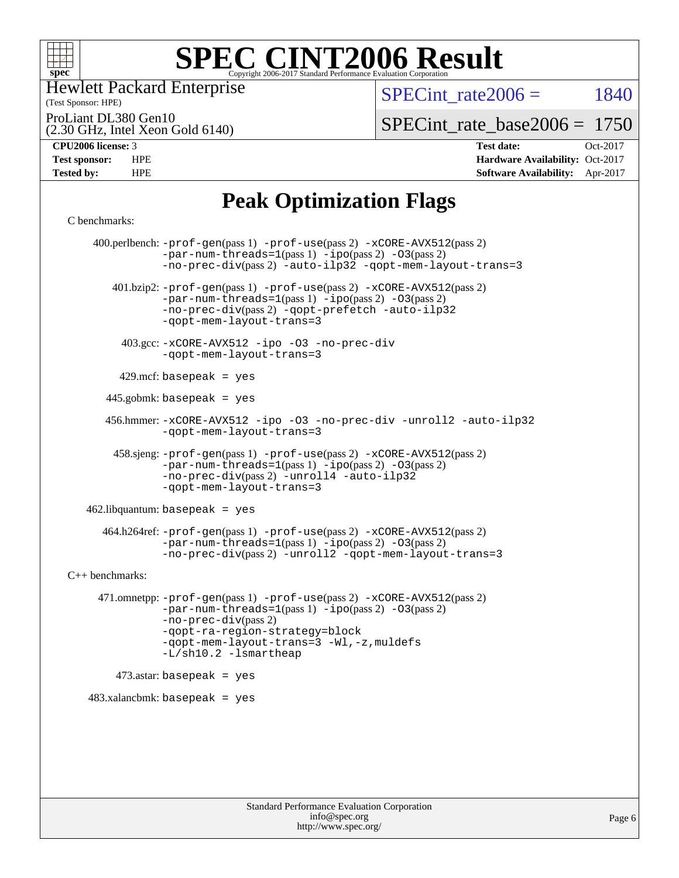

(Test Sponsor: HPE) Hewlett Packard Enterprise

SPECint rate $2006 = 1840$ 

ProLiant DL380 Gen10

(2.30 GHz, Intel Xeon Gold 6140)

[SPECint\\_rate\\_base2006 =](http://www.spec.org/auto/cpu2006/Docs/result-fields.html#SPECintratebase2006) 1750

**[CPU2006 license:](http://www.spec.org/auto/cpu2006/Docs/result-fields.html#CPU2006license)** 3 **[Test date:](http://www.spec.org/auto/cpu2006/Docs/result-fields.html#Testdate)** Oct-2017 **[Test sponsor:](http://www.spec.org/auto/cpu2006/Docs/result-fields.html#Testsponsor)** HPE **[Hardware Availability:](http://www.spec.org/auto/cpu2006/Docs/result-fields.html#HardwareAvailability)** Oct-2017 **[Tested by:](http://www.spec.org/auto/cpu2006/Docs/result-fields.html#Testedby)** HPE **[Software Availability:](http://www.spec.org/auto/cpu2006/Docs/result-fields.html#SoftwareAvailability)** Apr-2017

# **[Peak Optimization Flags](http://www.spec.org/auto/cpu2006/Docs/result-fields.html#PeakOptimizationFlags)**

#### [C benchmarks](http://www.spec.org/auto/cpu2006/Docs/result-fields.html#Cbenchmarks):

 400.perlbench: [-prof-gen](http://www.spec.org/cpu2006/results/res2017q4/cpu2006-20171031-50473.flags.html#user_peakPASS1_CFLAGSPASS1_LDCFLAGS400_perlbench_prof_gen_e43856698f6ca7b7e442dfd80e94a8fc)(pass 1) [-prof-use](http://www.spec.org/cpu2006/results/res2017q4/cpu2006-20171031-50473.flags.html#user_peakPASS2_CFLAGSPASS2_LDCFLAGS400_perlbench_prof_use_bccf7792157ff70d64e32fe3e1250b55)(pass 2) [-xCORE-AVX512](http://www.spec.org/cpu2006/results/res2017q4/cpu2006-20171031-50473.flags.html#user_peakPASS2_CFLAGSPASS2_LDCFLAGS400_perlbench_f-xCORE-AVX512)(pass 2)  $-par-num-threads=1(pass 1) -ipo(pass 2) -O3(pass 2)$  $-par-num-threads=1(pass 1) -ipo(pass 2) -O3(pass 2)$  $-par-num-threads=1(pass 1) -ipo(pass 2) -O3(pass 2)$  $-par-num-threads=1(pass 1) -ipo(pass 2) -O3(pass 2)$  $-par-num-threads=1(pass 1) -ipo(pass 2) -O3(pass 2)$  $-par-num-threads=1(pass 1) -ipo(pass 2) -O3(pass 2)$ [-no-prec-div](http://www.spec.org/cpu2006/results/res2017q4/cpu2006-20171031-50473.flags.html#user_peakPASS2_CFLAGSPASS2_LDCFLAGS400_perlbench_f-no-prec-div)(pass 2) [-auto-ilp32](http://www.spec.org/cpu2006/results/res2017q4/cpu2006-20171031-50473.flags.html#user_peakCOPTIMIZE400_perlbench_f-auto-ilp32) [-qopt-mem-layout-trans=3](http://www.spec.org/cpu2006/results/res2017q4/cpu2006-20171031-50473.flags.html#user_peakCOPTIMIZE400_perlbench_f-qopt-mem-layout-trans_170f5be61cd2cedc9b54468c59262d5d) 401.bzip2: [-prof-gen](http://www.spec.org/cpu2006/results/res2017q4/cpu2006-20171031-50473.flags.html#user_peakPASS1_CFLAGSPASS1_LDCFLAGS401_bzip2_prof_gen_e43856698f6ca7b7e442dfd80e94a8fc)(pass 1) [-prof-use](http://www.spec.org/cpu2006/results/res2017q4/cpu2006-20171031-50473.flags.html#user_peakPASS2_CFLAGSPASS2_LDCFLAGS401_bzip2_prof_use_bccf7792157ff70d64e32fe3e1250b55)(pass 2) [-xCORE-AVX512](http://www.spec.org/cpu2006/results/res2017q4/cpu2006-20171031-50473.flags.html#user_peakPASS2_CFLAGSPASS2_LDCFLAGS401_bzip2_f-xCORE-AVX512)(pass 2) [-par-num-threads=1](http://www.spec.org/cpu2006/results/res2017q4/cpu2006-20171031-50473.flags.html#user_peakPASS1_CFLAGSPASS1_LDCFLAGS401_bzip2_par_num_threads_786a6ff141b4e9e90432e998842df6c2)(pass 1) [-ipo](http://www.spec.org/cpu2006/results/res2017q4/cpu2006-20171031-50473.flags.html#user_peakPASS2_CFLAGSPASS2_LDCFLAGS401_bzip2_f-ipo)(pass 2) [-O3](http://www.spec.org/cpu2006/results/res2017q4/cpu2006-20171031-50473.flags.html#user_peakPASS2_CFLAGSPASS2_LDCFLAGS401_bzip2_f-O3)(pass 2) [-no-prec-div](http://www.spec.org/cpu2006/results/res2017q4/cpu2006-20171031-50473.flags.html#user_peakPASS2_CFLAGSPASS2_LDCFLAGS401_bzip2_f-no-prec-div)(pass 2) [-qopt-prefetch](http://www.spec.org/cpu2006/results/res2017q4/cpu2006-20171031-50473.flags.html#user_peakCOPTIMIZE401_bzip2_f-qopt-prefetch) [-auto-ilp32](http://www.spec.org/cpu2006/results/res2017q4/cpu2006-20171031-50473.flags.html#user_peakCOPTIMIZE401_bzip2_f-auto-ilp32) [-qopt-mem-layout-trans=3](http://www.spec.org/cpu2006/results/res2017q4/cpu2006-20171031-50473.flags.html#user_peakCOPTIMIZE401_bzip2_f-qopt-mem-layout-trans_170f5be61cd2cedc9b54468c59262d5d) 403.gcc: [-xCORE-AVX512](http://www.spec.org/cpu2006/results/res2017q4/cpu2006-20171031-50473.flags.html#user_peakOPTIMIZE403_gcc_f-xCORE-AVX512) [-ipo](http://www.spec.org/cpu2006/results/res2017q4/cpu2006-20171031-50473.flags.html#user_peakOPTIMIZE403_gcc_f-ipo) [-O3](http://www.spec.org/cpu2006/results/res2017q4/cpu2006-20171031-50473.flags.html#user_peakOPTIMIZE403_gcc_f-O3) [-no-prec-div](http://www.spec.org/cpu2006/results/res2017q4/cpu2006-20171031-50473.flags.html#user_peakOPTIMIZE403_gcc_f-no-prec-div) [-qopt-mem-layout-trans=3](http://www.spec.org/cpu2006/results/res2017q4/cpu2006-20171031-50473.flags.html#user_peakCOPTIMIZE403_gcc_f-qopt-mem-layout-trans_170f5be61cd2cedc9b54468c59262d5d) 429.mcf: basepeak = yes 445.gobmk: basepeak = yes 456.hmmer: [-xCORE-AVX512](http://www.spec.org/cpu2006/results/res2017q4/cpu2006-20171031-50473.flags.html#user_peakOPTIMIZE456_hmmer_f-xCORE-AVX512) [-ipo](http://www.spec.org/cpu2006/results/res2017q4/cpu2006-20171031-50473.flags.html#user_peakOPTIMIZE456_hmmer_f-ipo) [-O3](http://www.spec.org/cpu2006/results/res2017q4/cpu2006-20171031-50473.flags.html#user_peakOPTIMIZE456_hmmer_f-O3) [-no-prec-div](http://www.spec.org/cpu2006/results/res2017q4/cpu2006-20171031-50473.flags.html#user_peakOPTIMIZE456_hmmer_f-no-prec-div) [-unroll2](http://www.spec.org/cpu2006/results/res2017q4/cpu2006-20171031-50473.flags.html#user_peakCOPTIMIZE456_hmmer_f-unroll_784dae83bebfb236979b41d2422d7ec2) [-auto-ilp32](http://www.spec.org/cpu2006/results/res2017q4/cpu2006-20171031-50473.flags.html#user_peakCOPTIMIZE456_hmmer_f-auto-ilp32) [-qopt-mem-layout-trans=3](http://www.spec.org/cpu2006/results/res2017q4/cpu2006-20171031-50473.flags.html#user_peakCOPTIMIZE456_hmmer_f-qopt-mem-layout-trans_170f5be61cd2cedc9b54468c59262d5d) 458.sjeng: [-prof-gen](http://www.spec.org/cpu2006/results/res2017q4/cpu2006-20171031-50473.flags.html#user_peakPASS1_CFLAGSPASS1_LDCFLAGS458_sjeng_prof_gen_e43856698f6ca7b7e442dfd80e94a8fc)(pass 1) [-prof-use](http://www.spec.org/cpu2006/results/res2017q4/cpu2006-20171031-50473.flags.html#user_peakPASS2_CFLAGSPASS2_LDCFLAGS458_sjeng_prof_use_bccf7792157ff70d64e32fe3e1250b55)(pass 2) [-xCORE-AVX512](http://www.spec.org/cpu2006/results/res2017q4/cpu2006-20171031-50473.flags.html#user_peakPASS2_CFLAGSPASS2_LDCFLAGS458_sjeng_f-xCORE-AVX512)(pass 2)  $-par-num-threads=1(pass 1) -ipo(pass 2) -O3(pass 2)$  $-par-num-threads=1(pass 1) -ipo(pass 2) -O3(pass 2)$  $-par-num-threads=1(pass 1) -ipo(pass 2) -O3(pass 2)$  $-par-num-threads=1(pass 1) -ipo(pass 2) -O3(pass 2)$  $-par-num-threads=1(pass 1) -ipo(pass 2) -O3(pass 2)$  $-par-num-threads=1(pass 1) -ipo(pass 2) -O3(pass 2)$ [-no-prec-div](http://www.spec.org/cpu2006/results/res2017q4/cpu2006-20171031-50473.flags.html#user_peakPASS2_CFLAGSPASS2_LDCFLAGS458_sjeng_f-no-prec-div)(pass 2) [-unroll4](http://www.spec.org/cpu2006/results/res2017q4/cpu2006-20171031-50473.flags.html#user_peakCOPTIMIZE458_sjeng_f-unroll_4e5e4ed65b7fd20bdcd365bec371b81f) [-auto-ilp32](http://www.spec.org/cpu2006/results/res2017q4/cpu2006-20171031-50473.flags.html#user_peakCOPTIMIZE458_sjeng_f-auto-ilp32) [-qopt-mem-layout-trans=3](http://www.spec.org/cpu2006/results/res2017q4/cpu2006-20171031-50473.flags.html#user_peakCOPTIMIZE458_sjeng_f-qopt-mem-layout-trans_170f5be61cd2cedc9b54468c59262d5d) 462.libquantum: basepeak = yes 464.h264ref: [-prof-gen](http://www.spec.org/cpu2006/results/res2017q4/cpu2006-20171031-50473.flags.html#user_peakPASS1_CFLAGSPASS1_LDCFLAGS464_h264ref_prof_gen_e43856698f6ca7b7e442dfd80e94a8fc)(pass 1) [-prof-use](http://www.spec.org/cpu2006/results/res2017q4/cpu2006-20171031-50473.flags.html#user_peakPASS2_CFLAGSPASS2_LDCFLAGS464_h264ref_prof_use_bccf7792157ff70d64e32fe3e1250b55)(pass 2) [-xCORE-AVX512](http://www.spec.org/cpu2006/results/res2017q4/cpu2006-20171031-50473.flags.html#user_peakPASS2_CFLAGSPASS2_LDCFLAGS464_h264ref_f-xCORE-AVX512)(pass 2) [-par-num-threads=1](http://www.spec.org/cpu2006/results/res2017q4/cpu2006-20171031-50473.flags.html#user_peakPASS1_CFLAGSPASS1_LDCFLAGS464_h264ref_par_num_threads_786a6ff141b4e9e90432e998842df6c2)(pass 1) [-ipo](http://www.spec.org/cpu2006/results/res2017q4/cpu2006-20171031-50473.flags.html#user_peakPASS2_CFLAGSPASS2_LDCFLAGS464_h264ref_f-ipo)(pass 2) [-O3](http://www.spec.org/cpu2006/results/res2017q4/cpu2006-20171031-50473.flags.html#user_peakPASS2_CFLAGSPASS2_LDCFLAGS464_h264ref_f-O3)(pass 2) [-no-prec-div](http://www.spec.org/cpu2006/results/res2017q4/cpu2006-20171031-50473.flags.html#user_peakPASS2_CFLAGSPASS2_LDCFLAGS464_h264ref_f-no-prec-div)(pass 2) [-unroll2](http://www.spec.org/cpu2006/results/res2017q4/cpu2006-20171031-50473.flags.html#user_peakCOPTIMIZE464_h264ref_f-unroll_784dae83bebfb236979b41d2422d7ec2) [-qopt-mem-layout-trans=3](http://www.spec.org/cpu2006/results/res2017q4/cpu2006-20171031-50473.flags.html#user_peakCOPTIMIZE464_h264ref_f-qopt-mem-layout-trans_170f5be61cd2cedc9b54468c59262d5d) [C++ benchmarks:](http://www.spec.org/auto/cpu2006/Docs/result-fields.html#CXXbenchmarks) 471.omnetpp: [-prof-gen](http://www.spec.org/cpu2006/results/res2017q4/cpu2006-20171031-50473.flags.html#user_peakPASS1_CXXFLAGSPASS1_LDCXXFLAGS471_omnetpp_prof_gen_e43856698f6ca7b7e442dfd80e94a8fc)(pass 1) [-prof-use](http://www.spec.org/cpu2006/results/res2017q4/cpu2006-20171031-50473.flags.html#user_peakPASS2_CXXFLAGSPASS2_LDCXXFLAGS471_omnetpp_prof_use_bccf7792157ff70d64e32fe3e1250b55)(pass 2) [-xCORE-AVX512](http://www.spec.org/cpu2006/results/res2017q4/cpu2006-20171031-50473.flags.html#user_peakPASS2_CXXFLAGSPASS2_LDCXXFLAGS471_omnetpp_f-xCORE-AVX512)(pass 2) [-par-num-threads=1](http://www.spec.org/cpu2006/results/res2017q4/cpu2006-20171031-50473.flags.html#user_peakPASS1_CXXFLAGSPASS1_LDCXXFLAGS471_omnetpp_par_num_threads_786a6ff141b4e9e90432e998842df6c2)(pass 1) [-ipo](http://www.spec.org/cpu2006/results/res2017q4/cpu2006-20171031-50473.flags.html#user_peakPASS2_CXXFLAGSPASS2_LDCXXFLAGS471_omnetpp_f-ipo)(pass 2) [-O3](http://www.spec.org/cpu2006/results/res2017q4/cpu2006-20171031-50473.flags.html#user_peakPASS2_CXXFLAGSPASS2_LDCXXFLAGS471_omnetpp_f-O3)(pass 2) [-no-prec-div](http://www.spec.org/cpu2006/results/res2017q4/cpu2006-20171031-50473.flags.html#user_peakPASS2_CXXFLAGSPASS2_LDCXXFLAGS471_omnetpp_f-no-prec-div)(pass 2) [-qopt-ra-region-strategy=block](http://www.spec.org/cpu2006/results/res2017q4/cpu2006-20171031-50473.flags.html#user_peakCXXOPTIMIZE471_omnetpp_f-qopt-ra-region-strategy_430aa8f7c220cbde92ae827fa8d9be32)  [-qopt-mem-layout-trans=3](http://www.spec.org/cpu2006/results/res2017q4/cpu2006-20171031-50473.flags.html#user_peakCXXOPTIMIZE471_omnetpp_f-qopt-mem-layout-trans_170f5be61cd2cedc9b54468c59262d5d) [-Wl,-z,muldefs](http://www.spec.org/cpu2006/results/res2017q4/cpu2006-20171031-50473.flags.html#user_peakEXTRA_LDFLAGS471_omnetpp_link_force_multiple1_74079c344b956b9658436fd1b6dd3a8a) [-L/sh10.2 -lsmartheap](http://www.spec.org/cpu2006/results/res2017q4/cpu2006-20171031-50473.flags.html#user_peakEXTRA_LIBS471_omnetpp_SmartHeap_b831f2d313e2fffa6dfe3f00ffc1f1c0)  $473$ .astar: basepeak = yes 483.xalancbmk: basepeak = yes